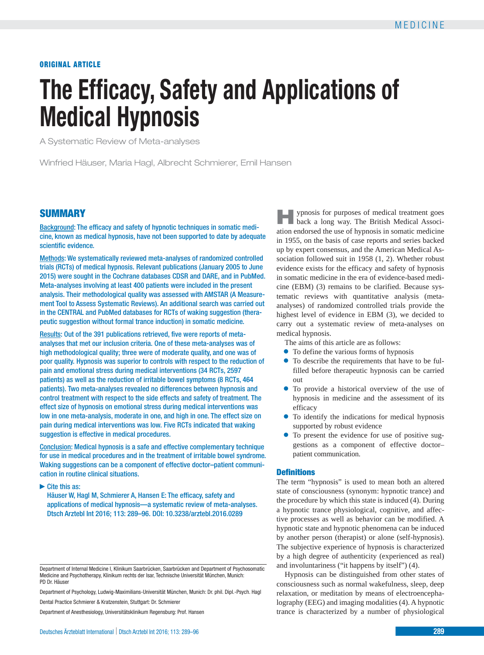## **ORIGINAL ARTICLE**

# **The Efficacy, Safety and Applications of Medical Hypnosis**

A Systematic Review of Meta-analyses

Winfried Häuser, Maria Hagl, Albrecht Schmierer, Ernil Hansen

# **SUMMARY**

Background: The efficacy and safety of hypnotic techniques in somatic medicine, known as medical hypnosis, have not been supported to date by adequate scientific evidence.

Methods: We systematically reviewed meta-analyses of randomized controlled trials (RCTs) of medical hypnosis. Relevant publications (January 2005 to June 2015) were sought in the Cochrane databases CDSR and DARE, and in PubMed. Meta-analyses involving at least 400 patients were included in the present analysis. Their methodological quality was assessed with AMSTAR (A Measurement Tool to Assess Systematic Reviews). An additional search was carried out in the CENTRAL and PubMed databases for RCTs of waking suggestion (therapeutic suggestion without formal trance induction) in somatic medicine.

Results: Out of the 391 publications retrieved, five were reports of meta analyses that met our inclusion criteria. One of these meta-analyses was of high methodological quality; three were of moderate quality, and one was of poor quality. Hypnosis was superior to controls with respect to the reduction of pain and emotional stress during medical interventions (34 RCTs, 2597 patients) as well as the reduction of irritable bowel symptoms (8 RCTs, 464 patients). Two meta-analyses revealed no differences between hypnosis and control treatment with respect to the side effects and safety of treatment. The effect size of hypnosis on emotional stress during medical interventions was low in one meta-analysis, moderate in one, and high in one. The effect size on pain during medical interventions was low. Five RCTs indicated that waking suggestion is effective in medical procedures.

Conclusion: Medical hypnosis is a safe and effective complementary technique for use in medical procedures and in the treatment of irritable bowel syndrome. Waking suggestions can be a component of effective doctor–patient communication in routine clinical situations.

**►**Cite this as:

 Häuser W, Hagl M, Schmierer A, Hansen E: The efficacy, safety and applications of medical hypnosis—a systematic review of meta-analyses. Dtsch Arztebl Int 2016; 113: 289–96. DOI: 10.3238/arztebl.2016.0289

Department of Internal Medicine I, Klinikum Saarbrücken, Saarbrücken and Department of Psychosomatic Medicine and Psychotherapy, Klinikum rechts der Isar, Technische Universität München, Munich: PD Dr. Häuser

Department of Psychology, Ludwig-Maximilians-Universität München, Munich: Dr. phil. Dipl.-Psych. Hagl

Dental Practice Schmierer & Kratzenstein, Stuttgart: Dr. Schmierer

Department of Anesthesiology, Universitätsklinikum Regensburg: Prof. Hansen

**Hely** ypnosis for purposes of medical treatment goes back a long way. The British Medical Association endorsed the use of hypnosis in somatic medicine in 1955, on the basis of case reports and series backed up by expert consensus, and the American Medical Association followed suit in 1958 (1, 2). Whether robust evidence exists for the efficacy and safety of hypnosis in somatic medicine in the era of evidence-based medicine (EBM) (3) remains to be clarified. Because systematic reviews with quantitative analysis (meta analyses) of randomized controlled trials provide the highest level of evidence in EBM (3), we decided to carry out a systematic review of meta-analyses on medical hypnosis.

The aims of this article are as follows:

- **●** To define the various forms of hypnosis
- **●** To describe the requirements that have to be fulfilled before therapeutic hypnosis can be carried out
- **●** To provide a historical overview of the use of hypnosis in medicine and the assessment of its efficacy
- **●** To identify the indications for medical hypnosis supported by robust evidence
- To present the evidence for use of positive suggestions as a component of effective doctor– patient communication.

#### **Definitions**

The term "hypnosis" is used to mean both an altered state of consciousness (synonym: hypnotic trance) and the procedure by which this state is induced (4). During a hypnotic trance physiological, cognitive, and affective processes as well as behavior can be modified. A hypnotic state and hypnotic phenomena can be induced by another person (therapist) or alone (self-hypnosis). The subjective experience of hypnosis is characterized by a high degree of authenticity (experienced as real) and involuntariness ("it happens by itself") (4).

Hypnosis can be distinguished from other states of consciousness such as normal wakefulness, sleep, deep relaxation, or meditation by means of electroencephalography (EEG) and imaging modalities (4). A hypnotic trance is characterized by a number of physiological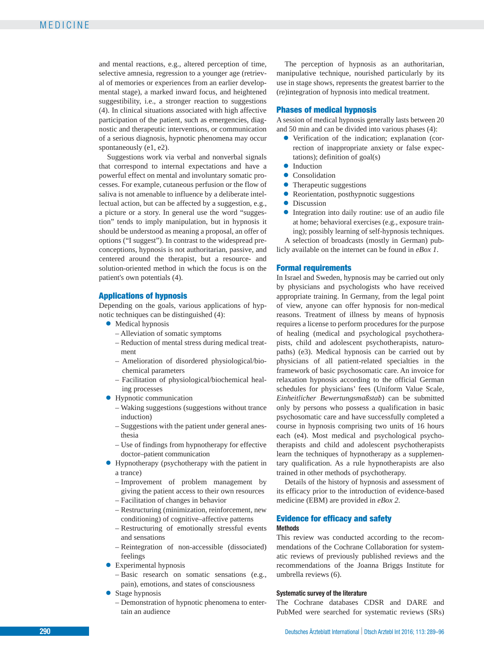and mental reactions, e.g., altered perception of time, selective amnesia, regression to a younger age (retrieval of memories or experiences from an earlier developmental stage), a marked inward focus, and heightened suggestibility, i.e., a stronger reaction to suggestions (4). In clinical situations associated with high affective participation of the patient, such as emergencies, diagnostic and therapeutic interventions, or communication of a serious diagnosis, hypnotic phenomena may occur spontaneously (e1, e2).

Suggestions work via verbal and nonverbal signals that correspond to internal expectations and have a powerful effect on mental and involuntary somatic processes. For example, cutaneous perfusion or the flow of saliva is not amenable to influence by a deliberate intellectual action, but can be affected by a suggestion, e.g., a picture or a story. In general use the word "suggestion" tends to imply manipulation, but in hypnosis it should be understood as meaning a proposal, an offer of options ("I suggest"). In contrast to the widespread preconceptions, hypnosis is not authoritarian, passive, and centered around the therapist, but a resource- and solution-oriented method in which the focus is on the patient's own potentials (4).

#### **Applications of hypnosis**

Depending on the goals, various applications of hypnotic techniques can be distinguished (4):

- **●** Medical hypnosis
	- Alleviation of somatic symptoms
	- Reduction of mental stress during medical treatment
	- Amelioration of disordered physiological/biochemical parameters
	- Facilitation of physiological/biochemical healing processes
- **●** Hypnotic communication
	- Waking suggestions (suggestions without trance induction)
	- Suggestions with the patient under general anesthesia
	- Use of findings from hypnotherapy for effective doctor–patient communication
- **●** Hypnotherapy (psychotherapy with the patient in a trance)
	- Improvement of problem management by giving the patient access to their own resources
	- Facilitation of changes in behavior
	- Restructuring (minimization, reinforcement, new conditioning) of cognitive–affective patterns
	- Restructuring of emotionally stressful events and sensations
	- Reintegration of non-accessible (dissociated) feelings
- **●** Experimental hypnosis
	- Basic research on somatic sensations (e.g., pain), emotions, and states of consciousness
- **●** Stage hypnosis
	- Demonstration of hypnotic phenomena to entertain an audience

The perception of hypnosis as an authoritarian, manipulative technique, nourished particularly by its use in stage shows, represents the greatest barrier to the (re)integration of hypnosis into medical treatment.

#### **Phases of medical hypnosis**

A session of medical hypnosis generally lasts between 20 and 50 min and can be divided into various phases (4):

- **●** Verification of the indication; explanation (correction of inappropriate anxiety or false expectations); definition of goal(s)
- **●** Induction
- **●** Consolidation
- **●** Therapeutic suggestions
- **●** Reorientation, posthypnotic suggestions
- **●** Discussion
- **●** Integration into daily routine: use of an audio file at home; behavioral exercises (e.g., exposure training); possibly learning of self-hypnosis techniques.

A selection of broadcasts (mostly in German) publicly available on the internet can be found in *eBox 1*.

#### **Formal requirements**

In Israel and Sweden, hypnosis may be carried out only by physicians and psychologists who have received appropriate training. In Germany, from the legal point of view, anyone can offer hypnosis for non-medical reasons. Treatment of illness by means of hypnosis requires a license to perform procedures for the purpose of healing (medical and psychological psychotherapists, child and adolescent psychotherapists, naturopaths) (e3). Medical hypnosis can be carried out by physicians of all patient-related specialties in the framework of basic psychosomatic care. An invoice for relaxation hypnosis according to the official German schedules for physicians' fees (Uniform Value Scale, *Einheitlicher Bewertungsmaßstab*) can be submitted only by persons who possess a qualification in basic psychosomatic care and have successfully completed a course in hypnosis comprising two units of 16 hours each (e4). Most medical and psychological psychotherapists and child and adolescent psychotherapists learn the techniques of hypnotherapy as a supplementary qualification. As a rule hypnotherapists are also trained in other methods of psychotherapy.

Details of the history of hypnosis and assessment of its efficacy prior to the introduction of evidence-based medicine (EBM) are provided in *eBox 2*.

#### **Evidence for efficacy and safety Methods**

This review was conducted according to the recommendations of the Cochrane Collaboration for systematic reviews of previously published reviews and the recommendations of the Joanna Briggs Institute for umbrella reviews (6).

#### **Systematic survey of the literature**

The Cochrane databases CDSR and DARE and PubMed were searched for systematic reviews (SRs)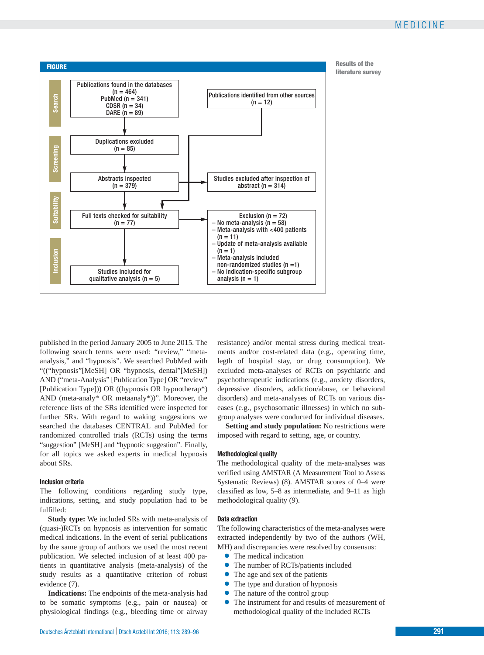

**lit erature survey**

published in the period January 2005 to June 2015. The following search terms were used: "review," "metaanalysis," and "hypnosis". We searched PubMed with "(("hypnosis"[MeSH] OR "hypnosis, dental"[MeSH]) AND ("meta-Analysis" [Publication Type] OR "review" [Publication Type])) OR ((hypnosis OR hypnotherap\*) AND (meta-analy\* OR metaanaly\*))". Moreover, the reference lists of the SRs identified were inspected for further SRs. With regard to waking suggestions we searched the databases CENTRAL and PubMed for randomized controlled trials (RCTs) using the terms "suggestion" [MeSH] and "hypnotic suggestion". Finally, for all topics we asked experts in medical hypnosis about SRs.

#### **Inclusion criteria**

The following conditions regarding study type, indications, setting, and study population had to be fulfilled:

**Study type:** We included SRs with meta-analysis of (quasi-)RCTs on hypnosis as intervention for somatic medical indications. In the event of serial publications by the same group of authors we used the most recent publication. We selected inclusion of at least 400 patients in quantitative analysis (meta-analysis) of the study results as a quantitative criterion of robust evidence (7).

**Indications:** The endpoints of the meta-analysis had to be somatic symptoms (e.g., pain or nausea) or physiological findings (e.g., bleeding time or airway

 resistance) and/or mental stress during medical treatments and/or cost-related data (e.g., operating time, legth of hospital stay, or drug consumption). We excluded meta-analyses of RCTs on psychiatric and psychotherapeutic indications (e.g., anxiety disorders, depressive disorders, addiction/abuse, or behavioral disorders) and meta-analyses of RCTs on various diseases (e.g., psychosomatic illnesses) in which no subgroup analyses were conducted for individual diseases.

**Setting and study population:** No restrictions were imposed with regard to setting, age, or country.

#### **Methodological quality**

The methodological quality of the meta-analyses was verified using AMSTAR (A Measurement Tool to Assess Systematic Reviews) (8). AMSTAR scores of 0–4 were classified as low, 5–8 as intermediate, and 9–11 as high methodological quality (9).

#### **Data extraction**

The following characteristics of the meta-analyses were extracted independently by two of the authors (WH, MH) and discrepancies were resolved by consensus:

- **●** The medical indication
- **●** The number of RCTs/patients included
- **●** The age and sex of the patients
- **●** The type and duration of hypnosis
- **●** The nature of the control group
- **●** The instrument for and results of measurement of methodological quality of the included RCTs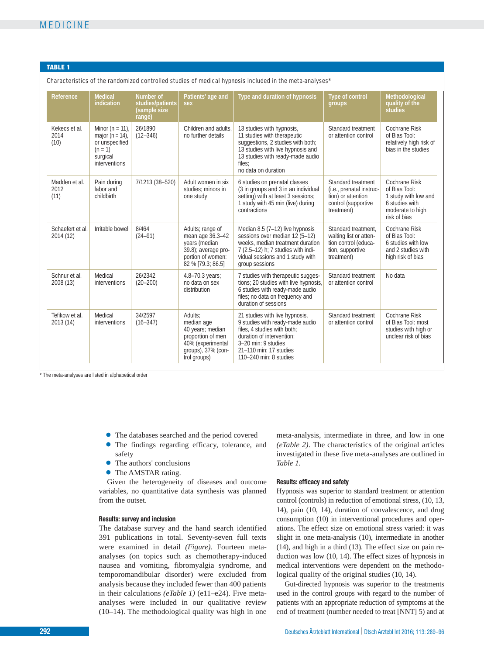#### **TABLE 1**

Characteristics of the randomized controlled studies of medical hypnosis included in the meta-analyses\*

| Reference                     | <b>Medical</b><br>indication                                                                           | Number of<br>studies/patients<br>(sample size<br>range) | Patients' age and<br>sex                                                                                                                                                                                                       | Type and duration of hypnosis                                                                                                                                                                            | <b>Type of control</b><br>groups                                                                          | Methodological<br>quality of the<br>studies                                                                  |
|-------------------------------|--------------------------------------------------------------------------------------------------------|---------------------------------------------------------|--------------------------------------------------------------------------------------------------------------------------------------------------------------------------------------------------------------------------------|----------------------------------------------------------------------------------------------------------------------------------------------------------------------------------------------------------|-----------------------------------------------------------------------------------------------------------|--------------------------------------------------------------------------------------------------------------|
| Kekecs et al.<br>2014<br>(10) | Minor ( $n = 11$ ),<br>major ( $n = 14$ ),<br>or unspecified<br>$(n = 1)$<br>surgical<br>interventions | 26/1890<br>$(12 - 346)$                                 | Children and adults.<br>no further details                                                                                                                                                                                     | 13 studies with hypnosis,<br>11 studies with therapeutic<br>suggestions, 2 studies with both;<br>13 studies with live hypnosis and<br>13 studies with ready-made audio<br>files:<br>no data on duration  | Standard treatment<br>or attention control                                                                | Cochrane Risk<br>of Bias Tool:<br>relatively high risk of<br>bias in the studies                             |
| Madden et al.<br>2012<br>(11) | Pain during<br>labor and<br>childbirth                                                                 | 7/1213 (38-520)                                         | Adult women in six<br>studies: minors in<br>one study                                                                                                                                                                          | 6 studies on prenatal classes<br>(3 in groups and 3 in an individual<br>setting) with at least 3 sessions;<br>1 study with 45 min (live) during<br>contractions                                          | Standard treatment<br>(i.e., prenatal instruc-<br>tion) or attention<br>control (supportive<br>treatment) | Cochrane Risk<br>of Bias Tool:<br>1 study with low and<br>6 studies with<br>moderate to high<br>risk of bias |
| Schaefert et al.<br>2014 (12) | Irritable bowel                                                                                        | 8/464<br>$(24 - 91)$                                    | Adults; range of<br>mean age 36.3-42<br>years (median<br>39.8); average pro-<br>portion of women:<br>82 % [79.3; 86.5]                                                                                                         | Median 8.5 $(7-12)$ live hypnosis<br>sessions over median 12 (5-12)<br>weeks, median treatment duration<br>7 (2.5-12) h; 7 studies with indi-<br>vidual sessions and 1 study with<br>group sessions      | Standard treatment,<br>waiting list or atten-<br>tion control (educa-<br>tion, supportive<br>treatment)   | Cochrane Risk<br>of Bias Tool:<br>6 studies with low<br>and 2 studies with<br>high risk of bias              |
| Schnur et al.<br>2008 (13)    | Medical<br><i>interventions</i>                                                                        | 26/2342<br>$(20 - 200)$                                 | 4.8-70.3 years:<br>7 studies with therapeutic sugges-<br>no data on sex<br>tions; 20 studies with live hypnosis,<br>6 studies with ready-made audio<br>distribution<br>files; no data on frequency and<br>duration of sessions |                                                                                                                                                                                                          | Standard treatment<br>or attention control                                                                | No data                                                                                                      |
| Tefikow et al.<br>2013 (14)   | Medical<br>interventions                                                                               | 34/2597<br>$(16 - 347)$                                 | Adults:<br>median age<br>40 years; median<br>proportion of men<br>40% (experimental<br>groups), 37% (con-<br>trol groups)                                                                                                      | 21 studies with live hypnosis,<br>9 studies with ready-made audio<br>files, 4 studies with both;<br>duration of intervention:<br>3-20 min: 9 studies<br>21-110 min: 17 studies<br>110-240 min: 8 studies | Standard treatment<br>or attention control                                                                | Cochrane Risk<br>of Bias Tool: most<br>studies with high or<br>unclear risk of bias                          |

\* The meta-analyses are listed in alphabetical order

- **●** The databases searched and the period covered
- **●** The findings regarding efficacy, tolerance, and safety
- **●** The authors' conclusions
- **●** The AMSTAR rating.

Given the heterogeneity of diseases and outcome variables, no quantitative data synthesis was planned from the outset.

#### **Results: survey and inclusion**

The database survey and the hand search identified 391 publications in total. Seventy-seven full texts were examined in detail *(Figure)*. Fourteen meta analyses (on topics such as chemotherapy-induced nausea and vomiting, fibromyalgia syndrome, and temporomandibular disorder) were excluded from analysis because they included fewer than 400 patients in their calculations *(eTable 1)* (e11–e24). Five metaanalyses were included in our qualitative review (10–14). The methodological quality was high in one

meta-analysis, intermediate in three, and low in one *(eTable 2)*. The characteristics of the original articles investigated in these five meta-analyses are outlined in *Table 1*.

#### **Results: efficacy and safety**

Hypnosis was superior to standard treatment or attention control (controls) in reduction of emotional stress, (10, 13, 14), pain (10, 14), duration of convalescence, and drug consumption (10) in interventional procedures and operations. The effect size on emotional stress varied: it was slight in one meta-analysis (10), intermediate in another (14), and high in a third (13). The effect size on pain reduction was low (10, 14). The effect sizes of hypnosis in medical interventions were dependent on the methodological quality of the original studies (10, 14).

Gut-directed hypnosis was superior to the treatments used in the control groups with regard to the number of patients with an appropriate reduction of symptoms at the end of treatment (number needed to treat [NNT] 5) and at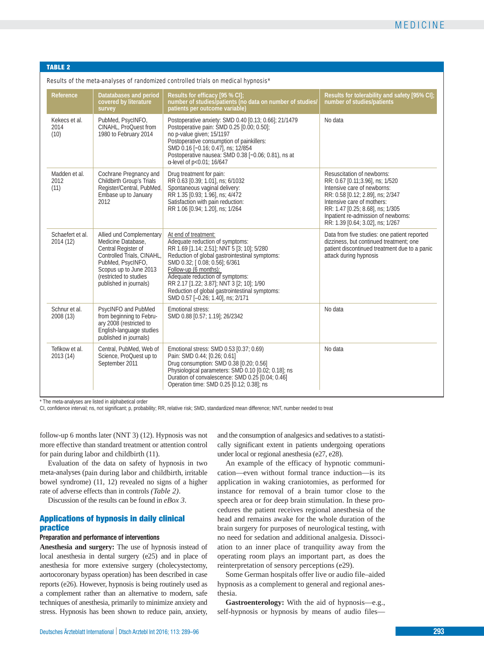#### **TABLE 2**

Results of the meta-analyses of randomized controlled trials on medical hypnosis\*

| Reference                     | Datatabases and period<br>covered by literature<br>survey                                                                                                                                             | Results for efficacy [95 % CI];<br>number of studies/patients (no data on number of studies)<br>patients per outcome variable)                                                                                                                                                                                                                                                           | Results for tolerability and safety [95% CI];<br>number of studies/patients                                                                                                                                                                                                   |
|-------------------------------|-------------------------------------------------------------------------------------------------------------------------------------------------------------------------------------------------------|------------------------------------------------------------------------------------------------------------------------------------------------------------------------------------------------------------------------------------------------------------------------------------------------------------------------------------------------------------------------------------------|-------------------------------------------------------------------------------------------------------------------------------------------------------------------------------------------------------------------------------------------------------------------------------|
| Kekecs et al.<br>2014<br>(10) | PubMed, PsycINFO,<br>CINAHL, ProQuest from<br>1980 to February 2014                                                                                                                                   | Postoperative anxiety: SMD 0.40 [0.13; 0.66]; 21/1479<br>Postoperative pain: SMD 0.25 [0.00; 0.50];<br>no p-value given; 15/1197<br>Postoperative consumption of painkillers:<br>SMD 0.16 [-0.16; 0.47], ns; 12/854<br>Postoperative nausea: SMD 0.38 [-0.06; 0.81), ns at<br>α-level of p<0.01; 16/647                                                                                  | No data                                                                                                                                                                                                                                                                       |
| Madden et al.<br>2012<br>(11) | Cochrane Pregnancy and<br>Childbirth Group's Trials<br>Register/Central, PubMed,<br>Embase up to January<br>2012                                                                                      | Drug treatment for pain:<br>RR 0.63 [0.39; 1.01], ns; 6/1032<br>Spontaneous vaginal delivery:<br>RR 1.35 [0.93; 1.96], ns; 4/472<br>Satisfaction with pain reduction:<br>RR 1.06 [0.94; 1.20], ns; 1/264                                                                                                                                                                                 | Resuscitation of newborns:<br>RR: 0.67 [0.11;3.96], ns; 1/520<br>Intensive care of newborns:<br>RR: 0.58 [0.12; 2.89], ns; 2/347<br>Intensive care of mothers:<br>RR: 1.47 [0.25; 8.68], ns; 1/305<br>Inpatient re-admission of newborns:<br>RR: 1.39 [0.64; 3.02], ns; 1/267 |
| Schaefert et al.<br>2014 (12) | Allied und Complementary<br>Medicine Database,<br>Central Register of<br>Controlled Trials, CINAHL<br>PubMed, PsycINFO,<br>Scopus up to June 2013<br>(restricted to studies<br>published in journals) | At end of treatment:<br>Adequate reduction of symptoms:<br>RR 1.69 [1.14; 2.51]; NNT 5 [3; 10]; 5/280<br>Reduction of global gastrointestinal symptoms:<br>SMD 0.32; [0.08; 0.56]; 6/361<br>Follow-up (6 months):<br>Adequate reduction of symptoms:<br>RR 2.17 [1.22; 3.87]; NNT 3 [2; 10]; 1/90<br>Reduction of global gastrointestinal symptoms:<br>SMD 0.57 [-0.26; 1.40], ns; 2/171 | Data from five studies: one patient reported<br>dizziness, but continued treatment; one<br>patient discontinued treatment due to a panic<br>attack during hypnosis                                                                                                            |
| Schnur et al.<br>2008 (13)    | PsycINFO and PubMed<br>from beginning to Febru-<br>ary 2008 (restricted to<br>English-language studies<br>published in journals)                                                                      | <b>Emotional stress:</b><br>SMD 0.88 [0.57; 1.19]; 26/2342                                                                                                                                                                                                                                                                                                                               | No data                                                                                                                                                                                                                                                                       |
| Tefikow et al.<br>2013 (14)   | Central, PubMed, Web of<br>Science, ProQuest up to<br>September 2011                                                                                                                                  | Emotional stress: SMD 0.53 [0.37; 0.69)<br>Pain: SMD 0.44; [0.26; 0.61]<br>Drug consumption: SMD 0.38 [0.20; 0.56]<br>Physiological parameters: SMD 0.10 [0.02; 0.18]; ns<br>Duration of convalescence: SMD 0.25 [0.04; 0.46]<br>Operation time: SMD 0.25 [0.12; 0.38]; ns                                                                                                               | No data                                                                                                                                                                                                                                                                       |

\* The meta-analyses are listed in alphabetical order

CI, confidence interval; ns, not significant; p, probability; RR, relative risk; SMD, standardized mean difference; NNT, number needed to treat

follow-up 6 months later (NNT 3) (12). Hypnosis was not more effective than standard treatment or attention control for pain during labor and childbirth (11).

Evaluation of the data on safety of hypnosis in two meta-analyses (pain during labor and childbirth, irritable bowel syndrome) (11, 12) revealed no signs of a higher rate of adverse effects than in controls *(Table 2)*.

Discussion of the results can be found in *eBox 3*.

## **Applications of hypnosis in daily clinical practice**

#### **Preparation and performance of interventions**

**Anesthesia and surgery:** The use of hypnosis instead of local anesthesia in dental surgery (e25) and in place of anesthesia for more extensive surgery (cholecystectomy, aortocoronary bypass operation) has been described in case reports (e26). However, hypnosis is being routinely used as a complement rather than an alternative to modern, safe techniques of anesthesia, primarily to minimize anxiety and stress. Hypnosis has been shown to reduce pain, anxiety,

and the consumption of analgesics and sedatives to a statistically significant extent in patients undergoing operations under local or regional anesthesia (e27, e28).

An example of the efficacy of hypnotic communication—even without formal trance induction—is its application in waking craniotomies, as performed for instance for removal of a brain tumor close to the speech area or for deep brain stimulation. In these procedures the patient receives regional anesthesia of the head and remains awake for the whole duration of the brain surgery for purposes of neurological testing, with no need for sedation and additional analgesia. Dissoci ation to an inner place of tranquility away from the operating room plays an important part, as does the reinterpretation of sensory perceptions (e29).

Some German hospitals offer live or audio file–aided hypnosis as a complement to general and regional anesthesia.

**Gastroenterology:** With the aid of hypnosis—e.g., self-hypnosis or hypnosis by means of audio files—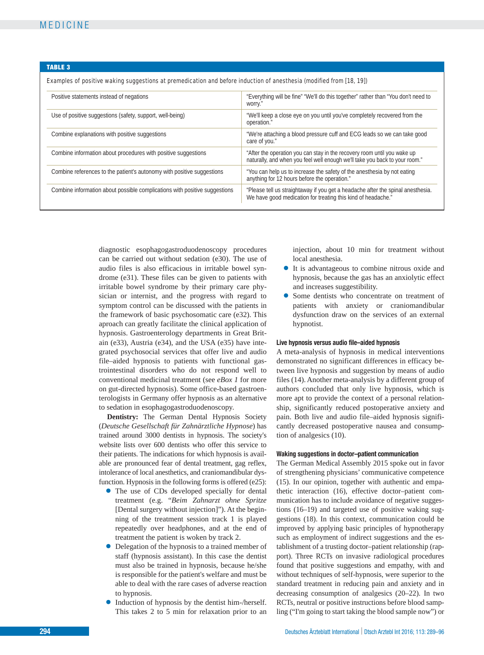| TABL |  |  |  |
|------|--|--|--|
|      |  |  |  |
|      |  |  |  |

Examples of positive waking suggestions at premedication and before induction of anesthesia (modified from [18, 19])

| Positive statements instead of negations                                   | "Everything will be fine" "We'll do this together" rather than "You don't need to<br>worry."                                                            |
|----------------------------------------------------------------------------|---------------------------------------------------------------------------------------------------------------------------------------------------------|
| Use of positive suggestions (safety, support, well-being)                  | "We'll keep a close eye on you until you've completely recovered from the<br>operation."                                                                |
| Combine explanations with positive suggestions                             | "We're attaching a blood pressure cuff and ECG leads so we can take good<br>care of you."                                                               |
| Combine information about procedures with positive suggestions             | "After the operation you can stay in the recovery room until you wake up<br>naturally, and when you feel well enough we'll take you back to your room." |
| Combine references to the patient's autonomy with positive suggestions     | "You can help us to increase the safety of the anesthesia by not eating<br>anything for 12 hours before the operation."                                 |
| Combine information about possible complications with positive suggestions | "Please tell us straightaway if you get a headache after the spinal anesthesia.<br>We have good medication for treating this kind of headache."         |

diagnostic esophagogastroduodenoscopy procedures can be carried out without sedation (e30). The use of audio files is also efficacious in irritable bowel syndrome (e31). These files can be given to patients with irritable bowel syndrome by their primary care physician or internist, and the progress with regard to symptom control can be discussed with the patients in the framework of basic psychosomatic care (e32). This aproach can greatly facilitate the clinical application of hypnosis. Gastroenterology departments in Great Britain (e33), Austria (e34), and the USA (e35) have integrated psychosocial services that offer live and audio file–aided hypnosis to patients with functional gastrointestinal disorders who do not respond well to conventional medicinal treatment (see *eBox 1* for more on gut-directed hypnosis). Some office-based gastroenterologists in Germany offer hypnosis as an alternative to sedation in esophagogastroduodenoscopy.

**Dentistry:** The German Dental Hypnosis Society (*Deutsche Gesellschaft für Zahnärztliche Hypnose*) has trained around 3000 dentists in hypnosis. The society's website lists over 600 dentists who offer this service to their patients. The indications for which hypnosis is available are pronounced fear of dental treatment, gag reflex, intolerance of local anesthetics, and craniomandibular dysfunction. Hypnosis in the following forms is offered (e25):

- **●** The use of CDs developed specially for dental treatment (e.g. "*Beim Zahnarzt ohne Spritze*  [Dental surgery without injection]"). At the beginning of the treatment session track 1 is played repeatedly over headphones, and at the end of treatment the patient is woken by track 2.
- **●** Delegation of the hypnosis to a trained member of staff (hypnosis assistant). In this case the dentist must also be trained in hypnosis, because he/she is responsible for the patient's welfare and must be able to deal with the rare cases of adverse reaction to hypnosis.
- Induction of hypnosis by the dentist him-/herself. This takes 2 to 5 min for relaxation prior to an

 injection, about 10 min for treatment without local anesthesia.

- **●** It is advantageous to combine nitrous oxide and hypnosis, because the gas has an anxiolytic effect and increases suggestibility.
- **●** Some dentists who concentrate on treatment of patients with anxiety or craniomandibular dysfunction draw on the services of an external hypnotist.

#### **Live hypnosis versus audio file–aided hypnosis**

A meta-analysis of hypnosis in medical interventions demonstrated no significant differences in efficacy between live hypnosis and suggestion by means of audio files (14). Another meta-analysis by a different group of authors concluded that only live hypnosis, which is more apt to provide the context of a personal relationship, significantly reduced postoperative anxiety and pain. Both live and audio file–aided hypnosis significantly decreased postoperative nausea and consumption of analgesics (10).

#### **Waking suggestions in doctor–patient communication**

The German Medical Assembly 2015 spoke out in favor of strengthening physicians' communicative competence (15). In our opinion, together with authentic and empathetic interaction (16), effective doctor–patient communication has to include avoidance of negative suggestions (16–19) and targeted use of positive waking suggestions (18). In this context, communication could be improved by applying basic principles of hypnotherapy such as employment of indirect suggestions and the establishment of a trusting doctor–patient relationship (rapport). Three RCTs on invasive radiological procedures found that positive suggestions and empathy, with and without techniques of self-hypnosis, were superior to the standard treatment in reducing pain and anxiety and in decreasing consumption of analgesics (20–22). In two RCTs, neutral or positive instructions before blood sampling ("I'm going to start taking the blood sample now") or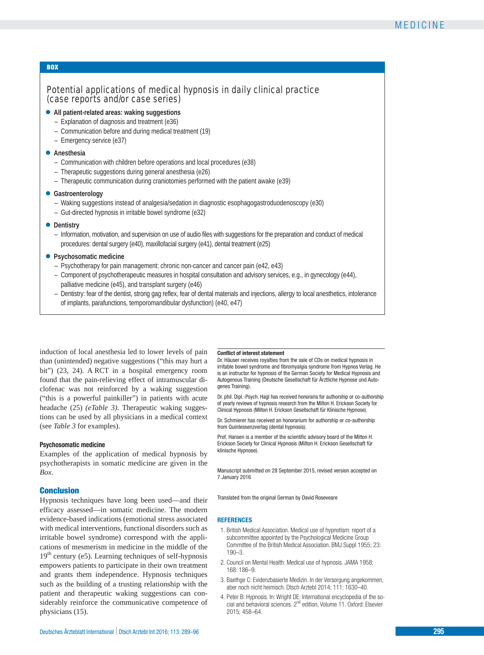## **BOX**

# Potential applications of medical hypnosis in daily clinical practice (case reports and/or case series)

## **● All patient-related areas: waking suggestions**

- Explanation of diagnosis and treatment (e36)
- Communication before and during medical treatment (19)
- Emergency service (e37)

#### **● Anesthesia**

- Communication with children before operations and local procedures (e38)
- Therapeutic suggestions during general anesthesia (e26)
- Therapeutic communication during craniotomies performed with the patient awake (e39)

#### **● Gastroenterology**

- Waking suggestions instead of analgesia/sedation in diagnostic esophagogastroduodenoscopy (e30)
- Gut-directed hypnosis in irritable bowel syndrome (e32)
- **● Dentistry**
	- Information, motivation, and supervision on use of audio files with suggestions for the preparation and conduct of medical procedures: dental surgery (e40), maxillofacial surgery (e41), dental treatment (e25)
- **● Psychosomatic medicine**
	- Psychotherapy for pain management: chronic non-cancer and cancer pain (e42, e43)
	- Component of psychotherapeutic measures in hospital consultation and advisory services, e.g., in gynecology (e44), palliative medicine (e45), and transplant surgery (e46)
	- Dentistry: fear of the dentist, strong gag reflex, fear of dental materials and injections, allergy to local anesthetics, intolerance of implants, parafunctions, temporomandibular dysfunction) (e40, e47)

induction of local anesthesia led to lower levels of pain than (unintended) negative suggestions ("this may hurt a bit") (23, 24). A RCT in a hospital emergency room found that the pain-relieving effect of intramuscular diclofenac was not reinforced by a waking suggestion ("this is a powerful painkiller") in patients with acute headache (25) *(eTable 3)*. Therapeutic waking suggestions can be used by all physicians in a medical context (see *Table 3* for examples).

#### **Psychosomatic medicine**

Examples of the application of medical hypnosis by psychotherapists in somatic medicine are given in the *Box*.

#### **Conclusion**

Hypnosis techniques have long been used—and their efficacy assessed—in somatic medicine. The modern evidence-based indications (emotional stress associated with medical interventions, functional disorders such as irritable bowel syndrome) correspond with the applications of mesmerism in medicine in the middle of the  $19<sup>th</sup>$  century (e5). Learning techniques of self-hypnosis empowers patients to participate in their own treatment and grants them independence. Hypnosis techniques such as the building of a trusting relationship with the patient and therapeutic waking suggestions can considerably reinforce the communicative competence of physicians (15).

#### **Conflict of interest statement**

Dr. Häuser receives royalties from the sale of CDs on medical hypnosis in irritable bowel syndrome and fibromyalgia syndrome from Hypnos Verlag. He is an instructor for hypnosis of the German Society for Medical Hypnosis and Autogenous Training (Deutsche Gesellschaft für Ärztliche Hypnose und Autogenes Training).

Dr. phil. Dipl.-Psych. Hagl has received honoraria for authorship or co- authorship of yearly reviews of hypnosis research from the Milton H. Erickson Society for Clinical Hypnosis (Milton H. Erickson Gesellschaft für Klinische Hypnose).

Dr. Schmierer has received an honorarium for authorship or co-authorship from Quintessenzverlag (dental hypnosis).

Prof. Hansen is a member of the scientific advisory board of the Milton H. Erickson Society for Clinical Hypnosis (Milton H. Erickson Gesellschaft für klinische Hypnose).

Manuscript submitted on 28 September 2015, revised version accepted on 7 January 2016

Translated from the original German by David Roseveare

#### **REFERENCES**

- 1. British Medical Association. Medical use of hypnotism: report of a subcommittee appointed by the Psychological Medicine Group Committee of the British Medical Association. BMJ Suppl 1955; 23: 190–3.
- 2. Council on Mental Health: Medical use of hypnosis. JAMA 1958; 168: 186–9.
- 3. Baethge C: Evidenzbasierte Medizin. In der Versorgung angekommen, aber noch nicht heimisch. Dtsch Arztebl 2014; 111: 1630–40.
- 4. Peter B: Hypnosis. In: Wright DE: International encyclopedia of the social and behavioral sciences. 2<sup>nd</sup> edition, Volume 11. Oxford: Elsevier 2015; 458–64.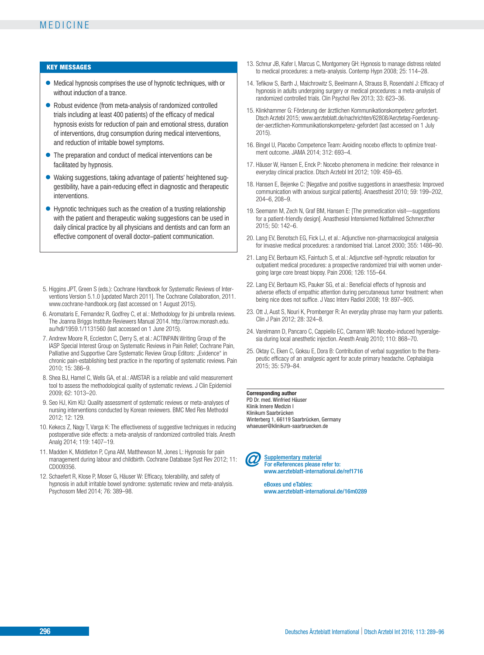#### **KEY MESSAGES**

- **●** Medical hypnosis comprises the use of hypnotic techniques, with or without induction of a trance.
- **●** Robust evidence (from meta-analysis of randomized controlled trials including at least 400 patients) of the efficacy of medical hypnosis exists for reduction of pain and emotional stress, duration of interventions, drug consumption during medical interventions, and reduction of irritable bowel symptoms.
- **●** The preparation and conduct of medical interventions can be facilitated by hypnosis.
- **●** Waking suggestions, taking advantage of patients' heightened suggestibility, have a pain-reducing effect in diagnostic and therapeutic interventions.
- **●** Hypnotic techniques such as the creation of a trusting relationship with the patient and therapeutic waking suggestions can be used in daily clinical practice by all physicians and dentists and can form an effective component of overall doctor–patient communication.
- 5. Higgins JPT, Green S (eds.): Cochrane Handbook for Systematic Reviews of Interventions Version 5.1.0 [updated March 2011]. The Cochrane Collaboration, 2011. www.cochrane-handbook.org (last accessed on 1 August 2015).
- 6. Aromataris E, Fernandez R, Godfrey C, et al.: Methodology for jbi umbrella reviews. The Joanna Briggs Institute Reviewers Manual 2014. http://arrow.monash.edu. au/hdl/1959.1/1131560 (last accessed on 1 June 2015).
- 7. Andrew Moore R, Eccleston C, Derry S, et al.: ACTINPAIN Writing Group of the IASP Special Interest Group on Systematic Reviews in Pain Relief; Cochrane Pain, Palliative and Supportive Care Systematic Review Group Editors: "Evidence" in chronic pain-establishing best practice in the reporting of systematic reviews. Pain 2010; 15: 386–9.
- 8. Shea BJ, Hamel C, Wells GA, et al.: AMSTAR is a reliable and valid measurement tool to assess the methodological quality of systematic reviews. J Clin Epidemiol 2009; 62: 1013–20.
- 9. Seo HJ, Kim KU: Quality assessment of systematic reviews or meta-analyses of nursing interventions conducted by Korean reviewers. BMC Med Res Methodol 2012; 12: 129.
- 10. Kekecs Z, Nagy T, Varga K: The effectiveness of suggestive techniques in reducing postoperative side effects: a meta-analysis of randomized controlled trials. Anesth Analg 2014; 119: 1407–19.
- 11. Madden K, Middleton P, Cyna AM, Matthewson M, Jones L: Hypnosis for pain management during labour and childbirth. Cochrane Database Syst Rev 2012; 11: CD009356.
- 12. Schaefert R, Klose P, Moser G, Häuser W: Efficacy, tolerability, and safety of hypnosis in adult irritable bowel syndrome: systematic review and meta-analysis. Psychosom Med 2014; 76: 389–98.
- 13. Schnur JB, Kafer I, Marcus C, Montgomery GH: Hypnosis to manage distress related to medical procedures: a meta-analysis. Contemp Hypn 2008; 25: 114–28.
- 14. Tefikow S, Barth J, Maichrowitz S, Beelmann A, Strauss B, Rosendahl J: Efficacy of hypnosis in adults undergoing surgery or medical procedures: a meta-analysis of randomized controlled trials. Clin Psychol Rev 2013; 33: 623–36.
- 15. Klinkhammer G: Förderung der ärztlichen Kommunikationskompetenz gefordert. Dtsch Arztebl 2015; www.aerzteblatt.de/nachrichten/62808/Aerztetag-Foerderungder-aerztlichen-Kommunikationskompetenz-gefordert (last accessed on 1 July 2015).
- 16. Bingel U, Placebo Competence Team: Avoiding nocebo effects to optimize treatment outcome. JAMA 2014; 312: 693–4.
- 17. Häuser W, Hansen E, Enck P: Nocebo phenomena in medicine: their relevance in everyday clinical practice. Dtsch Arztebl Int 2012; 109: 459–65.
- 18. Hansen E, Bejenke C: [Negative and positive suggestions in anaesthesia: Improved communication with anxious surgical patients]. Anaesthesist 2010; 59: 199–202, 204–6, 208–9.
- 19. Seemann M, Zech N, Graf BM, Hansen E: [The premedication visit—suggestions for a patient-friendly design]. Anasthesiol Intensivmed Notfallmed Schmerzther 2015; 50: 142–6.
- 20. Lang EV, Benotsch EG, Fick LJ, et al.: Adjunctive non-pharmacological analgesia for invasive medical procedures: a randomised trial. Lancet 2000; 355: 1486–90.
- 21. Lang EV, Berbaum KS, Faintuch S, et al.: Adjunctive self-hypnotic relaxation for outpatient medical procedures: a prospective randomized trial with women undergoing large core breast biopsy. Pain 2006; 126: 155–64.
- 22. Lang EV, Berbaum KS, Pauker SG, et al.: Beneficial effects of hypnosis and adverse effects of empathic attention during percutaneous tumor treatment: when being nice does not suffice. J Vasc Interv Radiol 2008; 19: 897–905.
- 23. Ott J, Aust S, Nouri K, Promberger R: An everyday phrase may harm your patients. Clin J Pain 2012; 28: 324–8.
- 24. Varelmann D, Pancaro C, Cappiello EC, Camann WR: Nocebo-induced hyperalgesia during local anesthetic injection. Anesth Analg 2010; 110: 868–70.
- 25. Oktay C, Eken C, Goksu E, Dora B: Contribution of verbal suggestion to the therapeutic efficacy of an analgesic agent for acute primary headache. Cephalalgia 2015; 35: 579–84.

#### **Corresponding author**

PD Dr. med. Winfried Häuser Klinik Innere Medizin I Klinikum Saarbrücken Winterberg 1, 66119 Saarbrücken, Germany whaeuser@klinikum-saarbruecken.de



*@* Supplementary material For eReferences please refer to: www.aerzteblatt-international.de/ref1716

> eBoxes und eTables: www.aerzteblatt-international.de/16m0289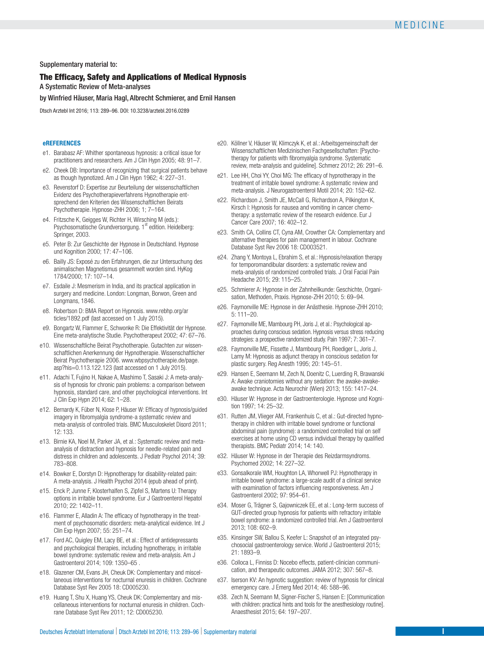Supplementary material to:

#### **The Efficacy, Safety and Applications of Medical Hypnosis**

A Systematic Review of Meta-analyses

by Winfried Häuser, Maria Hagl, Albrecht Schmierer, and Ernil Hansen

Dtsch Arztebl Int 2016; 113: 289–96. DOI: 10.3238/arztebl.2016.0289

#### **eREFERENCES**

- e1. Barabasz AF: Whither spontaneous hypnosis: a critical issue for practitioners and researchers. Am J Clin Hypn 2005; 48: 91–7.
- e2. Cheek DB: Importance of recognizing that surgical patients behave as though hypnotized. Am J Clin Hypn 1962; 4: 227–31.
- e3. Revenstorf D: Expertise zur Beurteilung der wissenschaftlichen Evidenz des Psychotherapieverfahrens Hypnotherapie ent sprechend den Kriterien des Wissenschaftlichen Beirats Psychotherapie. Hypnose-ZHH 2006; 1; 7–164.
- e4. Fritzsche K, Geigges W, Richter H, Wirsching M (eds.): Psychosomatische Grundversorgung. 1<sup>st</sup> edition. Heidelberg: Springer, 2003.
- e5. Peter B: Zur Geschichte der Hypnose in Deutschland. Hypnose und Kognition 2000; 17: 47–106.
- e6. Bailly JS: Exposé zu den Erfahrungen, die zur Untersuchung des animalischen Magnetismus gesammelt worden sind. HyKog 1784/2000; 17: 107–14.
- e7. Esdaile J: Mesmerism in India, and its practical application in surgery and medicine. London: Longman, Borwon, Green and Longmans, 1846.
- e8. Robertson D: BMA Report on Hypnosis. www.rebhp.org/ar ticles/1892.pdf (last accessed on 1 July 2015).
- e9. Bongartz W, Flammer E, Schwonke R: Die Effektivität der Hypnose. Eine meta-analytische Studie. Psychotherapeut 2002; 47: 67–76.
- e10. Wissenschaftliche Beirat Psychotherapie. Gutachten zur wissenschaftlichen Anerkennung der Hypnotherapie. Wissenschaftlicher Beirat Psychotherapie 2006. www.wbpsychotherapie.de/page. asp?his=0.113.122.123 (last accessed on 1 July 2015).
- e11. Adachi T, Fujino H, Nakae A, Mashimo T, Sasaki J: A meta-analysis of hypnosis for chronic pain problems: a comparison between hypnosis, standard care, and other psychological interventions. Int J Clin Exp Hypn 2014; 62: 1–28.
- e12. Bernardy K, Füber N, Klose P, Häuser W: Efficacy of hypnosis/guided imagery in fibromyalgia syndrome-a systematic review and meta-analysis of controlled trials. BMC Musculoskelet Disord 2011; 12: 133.
- e13. Birnie KA, Noel M, Parker JA, et al.: Systematic review and metaanalysis of distraction and hypnosis for needle-related pain and distress in children and adolescents. J Pediatr Psychol 2014; 39: 783–808.
- e14. Bowker E, Dorstyn D: Hypnotherapy for disability-related pain: A meta-analysis. J Health Psychol 2014 (epub ahead of print).
- e15. Enck P, Junne F, Klosterhalfen S, Zipfel S, Martens U: Therapy options in irritable bowel syndrome. Eur J Gastroenterol Hepatol 2010; 22: 1402–11.
- e16. Flammer E, Alladin A: The efficacy of hypnotherapy in the treatment of psychosomatic disorders: meta-analytical evidence. Int J Clin Exp Hypn 2007; 55: 251–74.
- e17. Ford AC, Quigley EM, Lacy BE, et al.: Effect of antidepressants and psychological therapies, including hypnotherapy, in irritable bowel syndrome: systematic review and meta-analysis. Am J Gastroenterol 2014; 109: 1350–65 .
- e18. Glazener CM, Evans JH, Cheuk DK: Complementary and miscellaneous interventions for nocturnal enuresis in children. Cochrane Database Syst Rev 2005 18: CD005230.
- e19. Huang T, Shu X, Huang YS, Cheuk DK: Complementary and miscellaneous interventions for nocturnal enuresis in children. Cochrane Database Syst Rev 2011; 12: CD005230.
- e20. Köllner V, Häuser W, Klimczyk K, et al.: Arbeitsgemeinschaft der Wissenschaftlichen Medizinischen Fachgesellschaften: [Psychotherapy for patients with fibromyalgia syndrome. Systematic review, meta-analysis and guideline]. Schmerz 2012; 26: 291–6.
- e21. Lee HH, Choi YY, Choi MG: The efficacy of hypnotherapy in the treatment of irritable bowel syndrome: A systematic review and meta-analysis. J Neurogastroenterol Motil 2014; 20: 152–62.
- e22. Richardson J, Smith JE, McCall G, Richardson A, Pilkington K, Kirsch I: Hypnosis for nausea and vomiting in cancer chemotherapy: a systematic review of the research evidence. Eur J Cancer Care 2007; 16: 402–12.
- e23. Smith CA, Collins CT, Cyna AM, Crowther CA: Complementary and alternative therapies for pain management in labour. Cochrane Database Syst Rev 2006 18: CD003521.
- e24. Zhang Y, Montoya L, Ebrahim S, et al.: Hypnosis/relaxation therapy for temporomandibular disorders: a systematic review and meta-analysis of randomized controlled trials. J Oral Facial Pain Headache 2015; 29: 115–25.
- e25. Schmierer A: Hypnose in der Zahnheilkunde: Geschichte, Organisation, Methoden, Praxis. Hypnose-ZHH 2010; 5: 69–94.
- e26. Faymonville ME: Hypnose in der Anästhesie. Hypnose-ZHH 2010; 5: 111–20.
- e27. Faymonville ME, Mambourg PH, Joris J, et al.: Psychological approaches during conscious sedation. Hypnosis versus stress reducing strategies: a prospective randomized study. Pain 1997; 7: 361–7.
- e28. Faymonville ME, Fissette J, Mambourg PH, Roediger L, Joris J, Lamy M: Hypnosis as adjunct therapy in conscious sedation for plastic surgery. Reg Anesth 1995; 20: 145–51.
- e29. Hansen E, Seemann M, Zech N, Doenitz C, Luerding R, Brawanski A: Awake craniotomies without any sedation: the awake-awakeawake technique. Acta Neurochir (Wien) 2013; 155: 1417–24.
- e30. Häuser W: Hypnose in der Gastroenterologie. Hypnose und Kognition 1997; 14: 25–32.
- e31. Rutten JM, Vlieger AM, Frankenhuis C, et al.: Gut-directed hypnotherapy in children with irritable bowel syndrome or functional abdominal pain (syndrome): a randomized controlled trial on self exercises at home using CD versus individual therapy by qualified therapists. BMC Pediatr 2014; 14: 140.
- e32. Häuser W: Hypnose in der Therapie des Reizdarmsyndroms. Psychomed 2002; 14: 227–32.
- e33. Gonsalkorale WM, Houghton LA, Whorwell PJ: Hypnotherapy in irritable bowel syndrome: a large-scale audit of a clinical service with examination of factors influencing responsiveness. Am J Gastroenterol 2002; 97: 954–61.
- e34. Moser G, Trägner S, Gajowniczek EE, et al.: Long-term success of GUT-directed group hypnosis for patients with refractory irritable bowel syndrome: a randomized controlled trial. Am J Gastroenterol 2013; 108: 602–9.
- e35. Kinsinger SW, Ballou S, Keefer L: Snapshot of an integrated psychosocial gastroenterology service. World J Gastroenterol 2015; 21: 1893–9.
- e36. Colloca L, Finniss D: Nocebo effects, patient-clinician communication, and therapeutic outcomes. JAMA 2012; 307: 567–8.
- e37. Iserson KV: An hypnotic suggestion: review of hypnosis for clinical emergency care. J Emerg Med 2014; 46: 588–96.
- e38. Zech N, Seemann M, Signer-Fischer S, Hansen E: [Communication with children: practical hints and tools for the anesthesiology routine]. Anaesthesist 2015; 64: 197–207.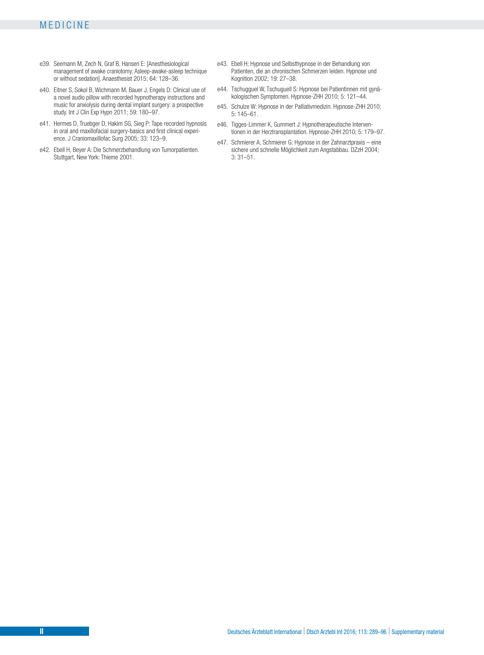- e39. Seemann M, Zech N, Graf B, Hansen E: [Anesthesiological management of awake craniotomy: Asleep-awake-asleep technique or without sedation]. Anaesthesist 2015; 64: 128–36.
- e40. Eitner S, Sokol B, Wichmann M, Bauer J, Engels D: Clinical use of a novel audio pillow with recorded hypnotherapy instructions and music for anxiolysis during dental implant surgery: a prospective study. Int J Clin Exp Hypn 2011; 59: 180–97.
- e41. Hermes D, Truebger D, Hakim SG, Sieg P: Tape recorded hypnosis in oral and maxillofacial surgery-basics and first clinical experience. J Craniomaxillofac Surg 2005; 33: 123–9.
- e42. Ebell H, Beyer A: Die Schmerzbehandlung von Tumorpatienten. Stuttgart, New York: Thieme 2001.
- e43. Ebell H: Hypnose und Selbsthypnose in der Behandlung von Patienten, die an chronischen Schmerzen leiden. Hypnose und Kognition 2002; 19: 27–38.
- e44. Tschugguel W, Tschuguell S: Hypnose bei Patientinnen mit gynäkologischen Symptomen. Hypnose-ZHH 2010; 5: 121–44.
- e45. Schulze W: Hypnose in der Palliativmedizin. Hypnose-ZHH 2010; 5: 145–61.
- e46. Tigges-Limmer K, Gummert J: Hypnotherapeutische Interventionen in der Herztransplantation. Hypnose-ZHH 2010; 5: 179–97.
- e47. Schmierer A, Schmierer G: Hypnose in der Zahnarztpraxis eine sichere und schnelle Möglichkeit zum Angstabbau. DZzH 2004; 3: 31–51.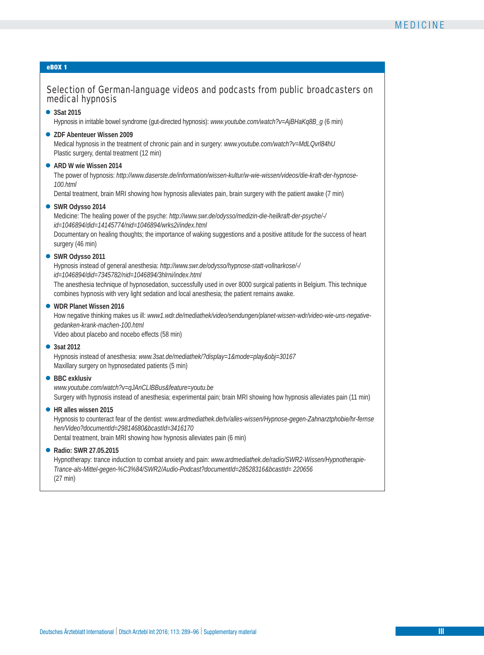## **eBOX 1**

# Selection of German-language videos and podcasts from public broadcasters on medical hypnosis

## **● 3Sat 2015**

Hypnosis in irritable bowel syndrome (gut-directed hypnosis): *www.youtube.com/watch?v=AjBHaKq8B\_g* (6 min)

**● ZDF Abenteuer Wissen 2009**

Medical hypnosis in the treatment of chronic pain and in surgery: *www.youtube.com/watch?v=MdLQvrl84hU* Plastic surgery, dental treatment (12 min)

**● ARD W wie Wissen 2014**

The power of hypnosis: *http://www.daserste.de/information/wissen-kultur/w-wie-wissen/videos/die-kraft-der-hypnose-100.html* 

Dental treatment, brain MRI showing how hypnosis alleviates pain, brain surgery with the patient awake (7 min)

**● SWR Odysso 2014**

Medicine: The healing power of the psyche: *http://www.swr.de/odysso/medizin-die-heilkraft-der-psyche/-/ id=1046894/did=14145774/nid=1046894/wrks2i/index.html*

Documentary on healing thoughts; the importance of waking suggestions and a positive attitude for the success of heart surgery (46 min)

**● SWR Odysso 2011** 

Hypnosis instead of general anesthesia: *http://www.swr.de/odysso/hypnose-statt-vollnarkose/-/ id=1046894/did=7345782/nid=1046894/3hlrni/index.html* The anesthesia technique of hypnosedation, successfully used in over 8000 surgical patients in Belgium. This technique combines hypnosis with very light sedation and local anesthesia; the patient remains awake.

**● WDR Planet Wissen 2016**

How negative thinking makes us ill: *www1.wdr.de/mediathek/video/sendungen/planet-wissen-wdr/video-wie-uns-negativegedanken-krank-machen-100.html*

Video about placebo and nocebo effects (58 min)

**● 3sat 2012** 

Hypnosis instead of anesthesia: *www.3sat.de/mediathek/?display=1&mode=play&obj=30167* Maxillary surgery on hypnosedated patients (5 min)

#### **● BBC exklusiv**

*www.youtube.com/watch?v=qJAnCLIBBus&feature=youtu.be* Surgery with hypnosis instead of anesthesia; experimental pain; brain MRI showing how hypnosis alleviates pain (11 min)

**● HR alles wissen 2015**

Hypnosis to counteract fear of the dentist: *www.ardmediathek.de/tv/alles-wissen/Hypnose-gegen-Zahnarztphobie/hr-fernse hen/Video?documentId=29814680&bcastId=3416170*

Dental treatment, brain MRI showing how hypnosis alleviates pain (6 min)

**● Radio: SWR 27.05.2015** 

Hypnotherapy: trance induction to combat anxiety and pain: *www.ardmediathek.de/radio/SWR2-Wissen/Hypnotherapie-Trance-als-Mittel-gegen-%C3%84/SWR2/Audio-Podcast?documentId=28528316&bcastId= 220656*  (27 min)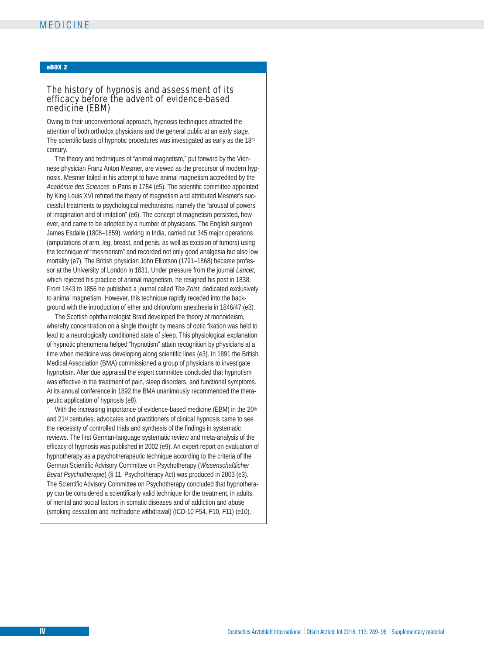## **eBOX 2**

## The history of hypnosis and assessment of its efficacy before the advent of evidence-based medicine (EBM)

Owing to their unconventional approach, hypnosis techniques attracted the attention of both orthodox physicians and the general public at an early stage. The scientific basis of hypnotic procedures was investigated as early as the 18<sup>th</sup> century.

The theory and techniques of "animal magnetism," put forward by the Viennese physician Franz Anton Mesmer, are viewed as the precursor of modern hypnosis. Mesmer failed in his attempt to have animal magnetism accredited by the *Académie des Sciences* in Paris in 1784 (e5). The scientific committee appointed by King Louis XVI refuted the theory of magnetism and attributed Mesmer's successful treatments to psychological mechanisms, namely the "arousal of powers of imagination and of imitation" (e6). The concept of magnetism persisted, however, and came to be adopted by a number of physicians. The English surgeon James Esdaile (1808–1859), working in India, carried out 345 major operations (amputations of arm, leg, breast, and penis, as well as excision of tumors) using the technique of "mesmerism" and recorded not only good analgesia but also low mortality (e7). The British physician John Elliotson (1791–1868) became professor at the University of London in 1831. Under pressure from the journal *Lancet*, which rejected his practice of animal magnetism, he resigned his post in 1838. From 1843 to 1856 he published a journal called *The Zoist*, dedicated exclusively to animal magnetism. However, this technique rapidly receded into the background with the introduction of ether and chloroform anesthesia in 1846/47 (e3).

The Scottish ophthalmologist Braid developed the theory of monoideism, whereby concentration on a single thought by means of optic fixation was held to lead to a neurologically conditioned state of sleep. This physiological explanation of hypnotic phenomena helped "hypnotism" attain recognition by physicians at a time when medicine was developing along scientific lines (e3). In 1891 the British Medical Association (BMA) commissioned a group of physicians to investigate hypnotism. After due appraisal the expert committee concluded that hypnotism was effective in the treatment of pain, sleep disorders, and functional symptoms. At its annual conference in 1892 the BMA unanimously recommended the therapeutic application of hypnosis (e8).

With the increasing importance of evidence-based medicine (EBM) in the 20<sup>th</sup> and 21st centuries, advocates and practitioners of clinical hypnosis came to see the necessity of controlled trials and synthesis of the findings in systematic reviews. The first German-language systematic review and meta-analysis of the efficacy of hypnosis was published in 2002 (e9). An expert report on evaluation of hypnotherapy as a psychotherapeutic technique according to the criteria of the German Scientific Advisory Committee on Psychotherapy (*Wissenschaftlicher Beirat Psychotherapie*) (§ 11, Psychotherapy Act) was produced in 2003 (e3). The Scientific Advisory Committee on Psychotherapy concluded that hypnotherapy can be considered a scientifically valid technique for the treatment, in adults, of mental and social factors in somatic diseases and of addiction and abuse (smoking cessation and methadone withdrawal) (ICD-10 F54, F10, F11) (e10).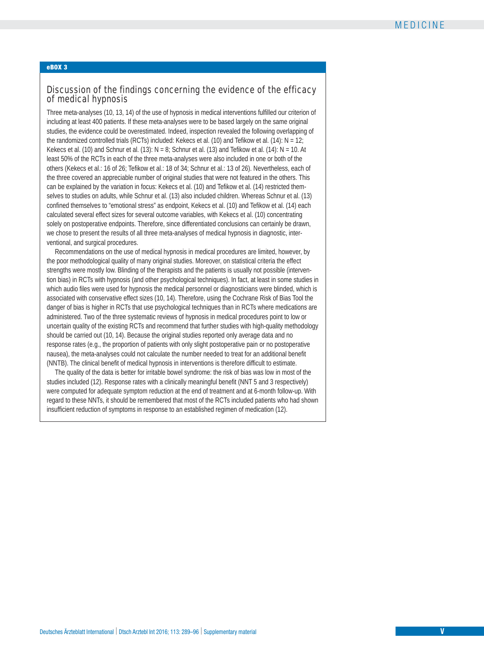## **eBOX 3**

# Discussion of the findings concerning the evidence of the efficacy of medical hypnosis

Three meta-analyses (10, 13, 14) of the use of hypnosis in medical interventions fulfilled our criterion of including at least 400 patients. If these meta-analyses were to be based largely on the same original studies, the evidence could be overestimated. Indeed, inspection revealed the following overlapping of the randomized controlled trials (RCTs) included: Kekecs et al. (10) and Tefikow et al. (14):  $N = 12$ ; Kekecs et al. (10) and Schnur et al. (13):  $N = 8$ ; Schnur et al. (13) and Tefikow et al. (14):  $N = 10$ . At least 50% of the RCTs in each of the three meta-analyses were also included in one or both of the others (Kekecs et al.: 16 of 26; Tefikow et al.: 18 of 34; Schnur et al.: 13 of 26). Nevertheless, each of the three covered an appreciable number of original studies that were not featured in the others. This can be explained by the variation in focus: Kekecs et al. (10) and Tefikow et al. (14) restricted themselves to studies on adults, while Schnur et al. (13) also included children. Whereas Schnur et al. (13) confined themselves to "emotional stress" as endpoint, Kekecs et al. (10) and Tefikow et al. (14) each calculated several effect sizes for several outcome variables, with Kekecs et al. (10) concentrating solely on postoperative endpoints. Therefore, since differentiated conclusions can certainly be drawn, we chose to present the results of all three meta-analyses of medical hypnosis in diagnostic, interventional, and surgical procedures.

Recommendations on the use of medical hypnosis in medical procedures are limited, however, by the poor methodological quality of many original studies. Moreover, on statistical criteria the effect strengths were mostly low. Blinding of the therapists and the patients is usually not possible (intervention bias) in RCTs with hypnosis (and other psychological techniques). In fact, at least in some studies in which audio files were used for hypnosis the medical personnel or diagnosticians were blinded, which is associated with conservative effect sizes (10, 14). Therefore, using the Cochrane Risk of Bias Tool the danger of bias is higher in RCTs that use psychological techniques than in RCTs where medications are administered. Two of the three systematic reviews of hypnosis in medical procedures point to low or uncertain quality of the existing RCTs and recommend that further studies with high-quality methodology should be carried out (10, 14). Because the original studies reported only average data and no response rates (e.g., the proportion of patients with only slight postoperative pain or no postoperative nausea), the meta-analyses could not calculate the number needed to treat for an additional benefit (NNTB). The clinical benefit of medical hypnosis in interventions is therefore difficult to estimate.

The quality of the data is better for irritable bowel syndrome: the risk of bias was low in most of the studies included (12). Response rates with a clinically meaningful benefit (NNT 5 and 3 respectively) were computed for adequate symptom reduction at the end of treatment and at 6-month follow-up. With regard to these NNTs, it should be remembered that most of the RCTs included patients who had shown insufficient reduction of symptoms in response to an established regimen of medication (12).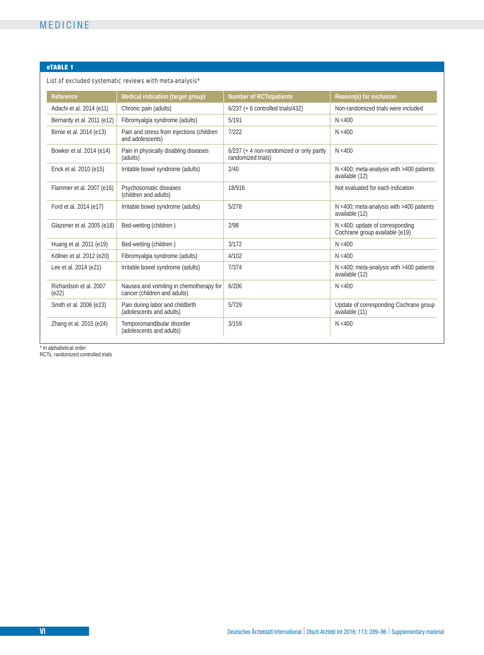## **eTABLE 1**

# List of excluded systematic reviews with meta-analysis\*

| <b>Reference</b>                | Medical indication (target group)                                       | <b>Number of RCTs/patients</b>                                   | Reason(s) for exclusion                                           |  |
|---------------------------------|-------------------------------------------------------------------------|------------------------------------------------------------------|-------------------------------------------------------------------|--|
| Adachi et al. 2014 (e11)        | Chronic pain (adults)                                                   | $6/237$ (+ 6 controlled trials/432)                              | Non-randomized trials were included                               |  |
| Bernardy et al. 2011 (e12)      | Fibromyalgia syndrome (adults)                                          | 5/191                                                            | N < 400                                                           |  |
| Birnie et al. 2014 (e13)        | Pain and stress from injections (children<br>and adolescents)           | 7/222                                                            | N < 400                                                           |  |
| Bowker et al. 2014 (e14)        | Pain in physically disabling diseases<br>(adults)                       | $6/237$ (+ 4 non-randomized or only partly<br>randomized trials) | N < 400                                                           |  |
| Enck et al. 2010 (e15)          | Irritable bowel syndrome (adults)                                       | 2/40                                                             | $N$ <400; meta-analysis with >400 patients<br>available (12)      |  |
| Flammer et al. 2007 (e16)       | Psychosomatic diseases<br>(children and adults)                         | 18/916                                                           | Not evaluated for each indication                                 |  |
| Ford et al. 2014 (e17)          | Irritable bowel syndrome (adults)                                       | 5/278                                                            | $N$ <400; meta-analysis with >400 patients<br>available (12)      |  |
| Glazener et al. 2005 (e18)      | Bed-wetting (children)                                                  | 2/98                                                             | N <400; update of corresponding<br>Cochrane group available (e19) |  |
| Huang et al. 2011 (e19)         | Bed-wetting (children)                                                  | 3/172                                                            | N < 400                                                           |  |
| Köllner et al. 2012 (e20)       | Fibromyalgia syndrome (adults)                                          | 4/102                                                            | N < 400                                                           |  |
| Lee et al. 2014 (e21)           | Irritable bowel syndrome (adults)                                       | 7/374                                                            | $N$ <400; meta-analysis with >400 patients<br>available (12)      |  |
| Richardson et al. 2007<br>(e22) | Nausea and vomiting in chemotherapy for<br>cancer (children and adults) | 6/206                                                            | N < 400                                                           |  |
| Smith et al. 2006 (e23)         | Pain during labor and childbirth<br>(adolescents and adults)            | 5/729                                                            | Update of corresponding Cochrane group<br>available (11)          |  |
| Zhang et al. 2015 (e24)         | Temporomandibular disorder<br>(adolescents and adults)                  | 3/159                                                            | N < 400                                                           |  |

\* In alphabetical order RCTs, randomized controlled trials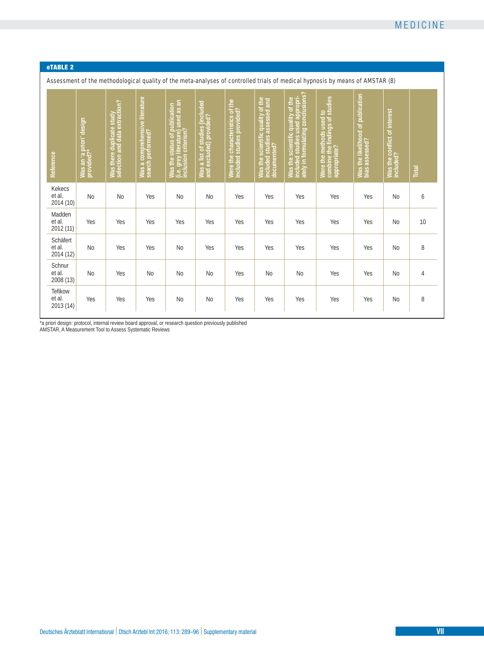## **eTABLE 2**

| Reference                       | Was an 'a priori' design<br>provided?* | Was there duplicate study<br>selection and data extraction? | Was a comprehensive literature<br>search performed? | Was the status of publication<br>(i.e. grey literature) used as an<br>inclusion criterion? | Was a list of studies (included<br>and excluded) provided? | Were the characteristics of the<br>included studies provided? | Was the scientific quality of the<br>included studies assessed and<br>documented? | Was the scientific quality of the<br>included studies used appropri-<br>ately in formulating conclusions? | Were the methods used to<br>combine the findings of studies<br>appropriate? | Was the likelihood of publication<br>bias assessed? | Was the conflict of interest<br>included? | Total |
|---------------------------------|----------------------------------------|-------------------------------------------------------------|-----------------------------------------------------|--------------------------------------------------------------------------------------------|------------------------------------------------------------|---------------------------------------------------------------|-----------------------------------------------------------------------------------|-----------------------------------------------------------------------------------------------------------|-----------------------------------------------------------------------------|-----------------------------------------------------|-------------------------------------------|-------|
| Kekecs<br>et al.<br>2014 (10)   | <b>No</b>                              | <b>No</b>                                                   | Yes                                                 | <b>No</b>                                                                                  | <b>No</b>                                                  | Yes                                                           | Yes                                                                               | Yes                                                                                                       | Yes                                                                         | Yes                                                 | <b>No</b>                                 | 6     |
| Madden<br>et al.<br>2012 (11)   | Yes                                    | Yes                                                         | Yes                                                 | Yes                                                                                        | Yes                                                        | Yes                                                           | Yes                                                                               | Yes                                                                                                       | Yes                                                                         | Yes                                                 | No                                        | 10    |
| Schäfert<br>et al.<br>2014 (12) | <b>No</b>                              | Yes                                                         | Yes                                                 | <b>No</b>                                                                                  | Yes                                                        | Yes                                                           | Yes                                                                               | Yes                                                                                                       | Yes                                                                         | Yes                                                 | N <sub>0</sub>                            | 8     |
| Schnur<br>et al.<br>2008 (13)   | <b>No</b>                              | Yes                                                         | <b>No</b>                                           | <b>No</b>                                                                                  | <b>No</b>                                                  | Yes                                                           | <b>No</b>                                                                         | <b>No</b>                                                                                                 | Yes                                                                         | Yes                                                 | <b>No</b>                                 | 4     |
| Tefikow<br>et al.<br>2013 (14)  | Yes                                    | Yes                                                         | Yes                                                 | <b>No</b>                                                                                  | No                                                         | Yes                                                           | Yes                                                                               | Yes                                                                                                       | Yes                                                                         | Yes                                                 | <b>No</b>                                 | 8     |

Assessment of the methodological quality of the meta-analyses of controlled trials of medical hypnosis by means of AMSTAR (8)

\*a priori design: protocol, internal review board approval, or research question previously published AMSTAR, A Measurement Tool to Assess Systematic Reviews

Deutsches Ärzteblatt International | Dtsch Arztebl Int 2016; 113: 289-96 | Supplementary material **VIII VIII VIII**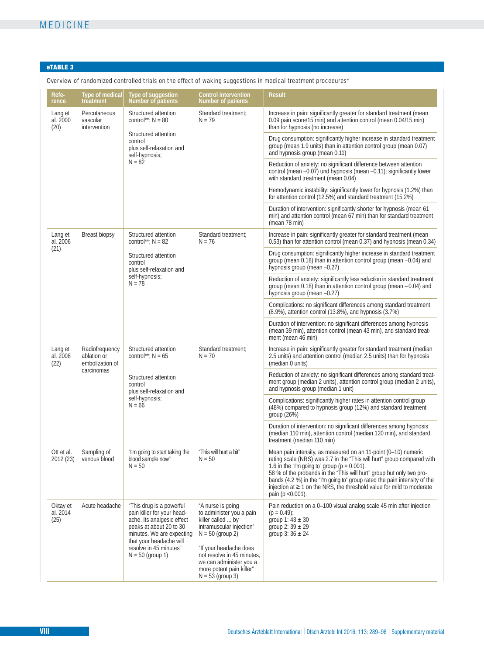# **eTABLE 3**

Overview of randomized controlled trials on the effect of waking suggestions in medical treatment procedures\*

| Refe-<br>rence               | <b>Type of medical</b><br>treatment                                                                  | Type of suggestion<br><b>Number of patients</b>                                                                                              | <b>Control intervention</b><br>Number of patients                                                                                 | <b>Result</b>                                                                                                                                                                                                                                                                                                                                                                                                                                            |
|------------------------------|------------------------------------------------------------------------------------------------------|----------------------------------------------------------------------------------------------------------------------------------------------|-----------------------------------------------------------------------------------------------------------------------------------|----------------------------------------------------------------------------------------------------------------------------------------------------------------------------------------------------------------------------------------------------------------------------------------------------------------------------------------------------------------------------------------------------------------------------------------------------------|
| Lang et<br>al. 2000<br>(20)  | Percutaneous<br>Structured attention<br>control <sup>**</sup> ; $N = 80$<br>vascular<br>intervention |                                                                                                                                              | Standard treatment:<br>$N = 79$                                                                                                   | Increase in pain: significantly greater for standard treatment (mean<br>0.09 pain score/15 min) and attention control (mean 0.04/15 min)<br>than for hypnosis (no increase)                                                                                                                                                                                                                                                                              |
|                              |                                                                                                      | Structured attention<br>control<br>plus self-relaxation and<br>self-hypnosis;                                                                |                                                                                                                                   | Drug consumption: significantly higher increase in standard treatment<br>group (mean 1.9 units) than in attention control group (mean 0.07)<br>and hypnosis group (mean 0.11)                                                                                                                                                                                                                                                                            |
|                              |                                                                                                      | $N = 82$                                                                                                                                     |                                                                                                                                   | Reduction of anxiety: no significant difference between attention<br>control (mean $-0.07$ ) und hypnosis (mean $-0.11$ ); significantly lower<br>with standard treatment (mean 0.04)                                                                                                                                                                                                                                                                    |
|                              |                                                                                                      |                                                                                                                                              |                                                                                                                                   | Hemodynamic instability: significantly lower for hypnosis (1.2%) than<br>for attention control (12.5%) and standard treatment (15.2%)                                                                                                                                                                                                                                                                                                                    |
|                              |                                                                                                      |                                                                                                                                              |                                                                                                                                   | Duration of intervention: significantly shorter for hypnosis (mean 61<br>min) and attention control (mean 67 min) than for standard treatment<br>(mean 78 min)                                                                                                                                                                                                                                                                                           |
| Lang et<br>al. 2006          | <b>Breast biopsy</b>                                                                                 | Structured attention<br>control <sup>**</sup> ; $N = 82$                                                                                     | Standard treatment;<br>$N = 76$                                                                                                   | Increase in pain: significantly greater for standard treatment (mean<br>0.53) than for attention control (mean 0.37) and hypnosis (mean 0.34)                                                                                                                                                                                                                                                                                                            |
| (21)                         |                                                                                                      | Structured attention<br>control<br>plus self-relaxation and                                                                                  |                                                                                                                                   | Drug consumption: significantly higher increase in standard treatment<br>group (mean 0.18) than in attention control group (mean -0.04) and<br>hypnosis group (mean -0.27)                                                                                                                                                                                                                                                                               |
|                              |                                                                                                      | self-hypnosis;<br>$N = 78$                                                                                                                   |                                                                                                                                   | Reduction of anxiety: significantly less reduction in standard treatment<br>group (mean 0.18) than in attention control group (mean - 0.04) and<br>hypnosis group (mean -0.27)                                                                                                                                                                                                                                                                           |
|                              |                                                                                                      |                                                                                                                                              |                                                                                                                                   | Complications: no significant differences among standard treatment<br>$(8.9\%)$ , attention control $(13.8\%)$ , and hypnosis $(3.7\%)$                                                                                                                                                                                                                                                                                                                  |
|                              |                                                                                                      |                                                                                                                                              |                                                                                                                                   | Duration of intervention: no significant differences among hypnosis<br>(mean 39 min), attention control (mean 43 min), and standard treat-<br>ment (mean 46 min)                                                                                                                                                                                                                                                                                         |
| Lang et<br>al. 2008<br>(22)  | Radiofrequency<br>Structured attention<br>ablation or<br>control**; $N = 65$<br>embolization of      |                                                                                                                                              | Standard treatment;<br>$N = 70$                                                                                                   | Increase in pain: significantly greater for standard treatment (median<br>2.5 units) and attention control (median 2.5 units) than for hypnosis<br>(median 0 units)                                                                                                                                                                                                                                                                                      |
|                              | carcinomas                                                                                           | Structured attention<br>control<br>plus self-relaxation and                                                                                  |                                                                                                                                   | Reduction of anxiety: no significant differences among standard treat-<br>ment group (median 2 units), attention control group (median 2 units),<br>and hypnosis group (median 1 unit)                                                                                                                                                                                                                                                                   |
|                              |                                                                                                      | self-hypnosis;<br>$N = 66$                                                                                                                   |                                                                                                                                   | Complications: significantly higher rates in attention control group<br>(48%) compared to hypnosis group (12%) and standard treatment<br>group (26%)                                                                                                                                                                                                                                                                                                     |
|                              |                                                                                                      |                                                                                                                                              |                                                                                                                                   | Duration of intervention: no significant differences among hypnosis<br>(median 110 min), attention control (median 120 min), and standard<br>treatment (median 110 min)                                                                                                                                                                                                                                                                                  |
| Ott et al.<br>2012 (23)      | Sampling of<br>venous blood                                                                          | "I'm going to start taking the<br>blood sample now"<br>$N = 50$                                                                              | "This will hurt a bit"<br>$N = 50$                                                                                                | Mean pain intensity, as measured on an 11-point (0–10) numeric<br>rating scale (NRS) was 2.7 in the "This will hurt" group compared with<br>1.6 in the "I'm going to" group ( $p = 0.001$ ).<br>58 % of the probands in the "This will hurt" group but only two pro-<br>bands (4.2 %) in the "I'm going to" group rated the pain intensity of the<br>injection at $\geq 1$ on the NRS, the threshold value for mild to moderate<br>pain ( $p < 0.001$ ). |
| Oktay et<br>al. 2014<br>(25) | Acute headache                                                                                       | "This drug is a powerful<br>pain killer for your head-<br>ache. Its analgesic effect<br>peaks at about 20 to 30<br>minutes. We are expecting | "A nurse is going<br>to administer you a pain<br>killer called  by<br>intramuscular injection"<br>$N = 50$ (group 2)              | Pain reduction on a 0-100 visual analog scale 45 min after injection<br>$(p = 0.49)$ :<br>group 1: $43 \pm 30$<br>group 2: $39 \pm 29$<br>group 3: $36 \pm 24$                                                                                                                                                                                                                                                                                           |
|                              |                                                                                                      | that your headache will<br>resolve in 45 minutes"<br>$N = 50$ (group 1)                                                                      | "If your headache does<br>not resolve in 45 minutes,<br>we can administer you a<br>more potent pain killer"<br>$N = 53$ (group 3) |                                                                                                                                                                                                                                                                                                                                                                                                                                                          |